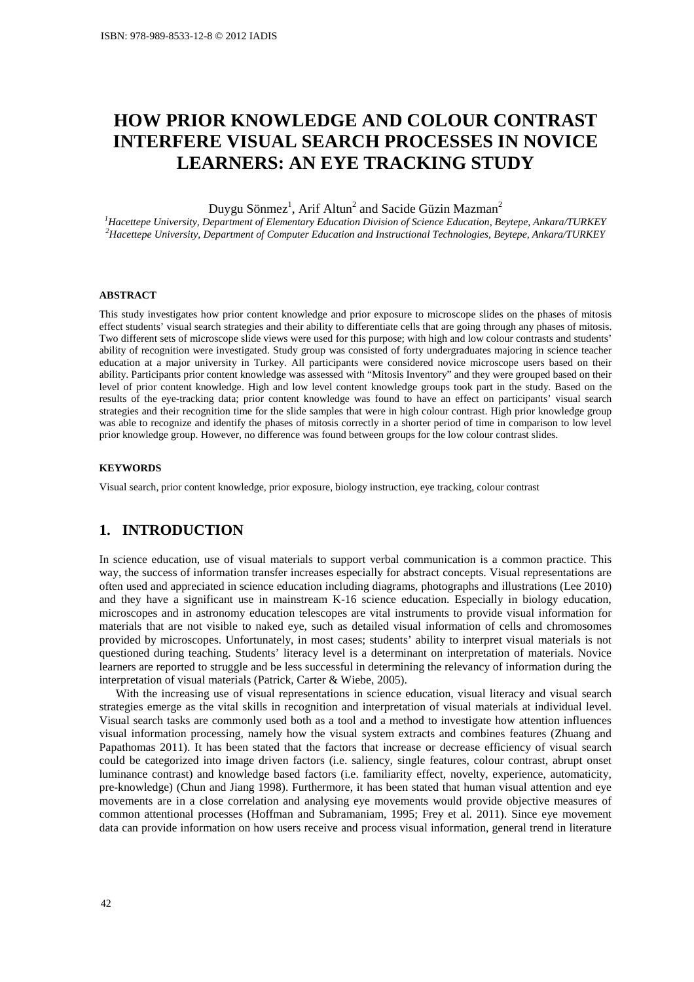# **HOW PRIOR KNOWLEDGE AND COLOUR CONTRAST INTERFERE VISUAL SEARCH PROCESSES IN NOVICE LEARNERS: AN EYE TRACKING STUDY**

Duygu Sönmez<sup>1</sup>, Arif Altun<sup>2</sup> and Sacide Güzin Mazman<sup>2</sup>

*<sup>1</sup>Hacettepe University, Department of Elementary Education Division of Science Education, Beytepe, Ankara/TURKEY <sup>2</sup>Hacettepe University, Department of Computer Education and Instructional Technologies, Beytepe, Ankara/TURKEY* 

#### **ABSTRACT**

This study investigates how prior content knowledge and prior exposure to microscope slides on the phases of mitosis effect students' visual search strategies and their ability to differentiate cells that are going through any phases of mitosis. Two different sets of microscope slide views were used for this purpose; with high and low colour contrasts and students' ability of recognition were investigated. Study group was consisted of forty undergraduates majoring in science teacher education at a major university in Turkey. All participants were considered novice microscope users based on their ability. Participants prior content knowledge was assessed with "Mitosis Inventory" and they were grouped based on their level of prior content knowledge. High and low level content knowledge groups took part in the study. Based on the results of the eye-tracking data; prior content knowledge was found to have an effect on participants' visual search strategies and their recognition time for the slide samples that were in high colour contrast. High prior knowledge group was able to recognize and identify the phases of mitosis correctly in a shorter period of time in comparison to low level prior knowledge group. However, no difference was found between groups for the low colour contrast slides.

#### **KEYWORDS**

Visual search, prior content knowledge, prior exposure, biology instruction, eye tracking, colour contrast

### **1. INTRODUCTION**

In science education, use of visual materials to support verbal communication is a common practice. This way, the success of information transfer increases especially for abstract concepts. Visual representations are often used and appreciated in science education including diagrams, photographs and illustrations (Lee 2010) and they have a significant use in mainstream K-16 science education. Especially in biology education, microscopes and in astronomy education telescopes are vital instruments to provide visual information for materials that are not visible to naked eye, such as detailed visual information of cells and chromosomes provided by microscopes. Unfortunately, in most cases; students' ability to interpret visual materials is not questioned during teaching. Students' literacy level is a determinant on interpretation of materials. Novice learners are reported to struggle and be less successful in determining the relevancy of information during the interpretation of visual materials (Patrick, Carter & Wiebe, 2005).

With the increasing use of visual representations in science education, visual literacy and visual search strategies emerge as the vital skills in recognition and interpretation of visual materials at individual level. Visual search tasks are commonly used both as a tool and a method to investigate how attention influences visual information processing, namely how the visual system extracts and combines features (Zhuang and Papathomas 2011). It has been stated that the factors that increase or decrease efficiency of visual search could be categorized into image driven factors (i.e. saliency, single features, colour contrast, abrupt onset luminance contrast) and knowledge based factors (i.e. familiarity effect, novelty, experience, automaticity, pre-knowledge) (Chun and Jiang 1998). Furthermore, it has been stated that human visual attention and eye movements are in a close correlation and analysing eye movements would provide objective measures of common attentional processes (Hoffman and Subramaniam, 1995; Frey et al. 2011). Since eye movement data can provide information on how users receive and process visual information, general trend in literature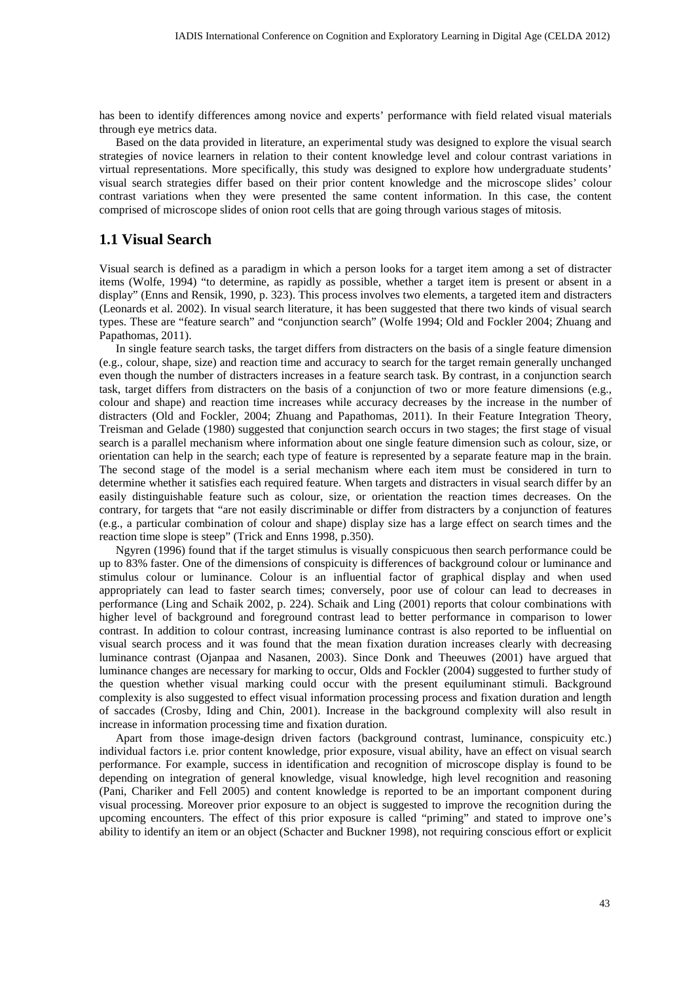has been to identify differences among novice and experts' performance with field related visual materials through eye metrics data.

Based on the data provided in literature, an experimental study was designed to explore the visual search strategies of novice learners in relation to their content knowledge level and colour contrast variations in virtual representations. More specifically, this study was designed to explore how undergraduate students' visual search strategies differ based on their prior content knowledge and the microscope slides' colour contrast variations when they were presented the same content information. In this case, the content comprised of microscope slides of onion root cells that are going through various stages of mitosis.

### **1.1 Visual Search**

Visual search is defined as a paradigm in which a person looks for a target item among a set of distracter items (Wolfe, 1994) "to determine, as rapidly as possible, whether a target item is present or absent in a display" (Enns and Rensik, 1990, p. 323). This process involves two elements, a targeted item and distracters (Leonards et al. 2002). In visual search literature, it has been suggested that there two kinds of visual search types. These are "feature search" and "conjunction search" (Wolfe 1994; Old and Fockler 2004; Zhuang and Papathomas, 2011).

In single feature search tasks, the target differs from distracters on the basis of a single feature dimension (e.g., colour, shape, size) and reaction time and accuracy to search for the target remain generally unchanged even though the number of distracters increases in a feature search task. By contrast, in a conjunction search task, target differs from distracters on the basis of a conjunction of two or more feature dimensions (e.g., colour and shape) and reaction time increases while accuracy decreases by the increase in the number of distracters (Old and Fockler, 2004; Zhuang and Papathomas, 2011). In their Feature Integration Theory, Treisman and Gelade (1980) suggested that conjunction search occurs in two stages; the first stage of visual search is a parallel mechanism where information about one single feature dimension such as colour, size, or orientation can help in the search; each type of feature is represented by a separate feature map in the brain. The second stage of the model is a serial mechanism where each item must be considered in turn to determine whether it satisfies each required feature. When targets and distracters in visual search differ by an easily distinguishable feature such as colour, size, or orientation the reaction times decreases. On the contrary, for targets that "are not easily discriminable or differ from distracters by a conjunction of features (e.g., a particular combination of colour and shape) display size has a large effect on search times and the reaction time slope is steep" (Trick and Enns 1998, p.350).

Ngyren (1996) found that if the target stimulus is visually conspicuous then search performance could be up to 83% faster. One of the dimensions of conspicuity is differences of background colour or luminance and stimulus colour or luminance. Colour is an influential factor of graphical display and when used appropriately can lead to faster search times; conversely, poor use of colour can lead to decreases in performance (Ling and Schaik 2002, p. 224). Schaik and Ling (2001) reports that colour combinations with higher level of background and foreground contrast lead to better performance in comparison to lower contrast. In addition to colour contrast, increasing luminance contrast is also reported to be influential on visual search process and it was found that the mean fixation duration increases clearly with decreasing luminance contrast (Ojanpaa and Nasanen, 2003). Since Donk and Theeuwes (2001) have argued that luminance changes are necessary for marking to occur, Olds and Fockler (2004) suggested to further study of the question whether visual marking could occur with the present equiluminant stimuli. Background complexity is also suggested to effect visual information processing process and fixation duration and length of saccades (Crosby, Iding and Chin, 2001). Increase in the background complexity will also result in increase in information processing time and fixation duration.

Apart from those image-design driven factors (background contrast, luminance, conspicuity etc.) individual factors i.e. prior content knowledge, prior exposure, visual ability, have an effect on visual search performance. For example, success in identification and recognition of microscope display is found to be depending on integration of general knowledge, visual knowledge, high level recognition and reasoning (Pani, Chariker and Fell 2005) and content knowledge is reported to be an important component during visual processing. Moreover prior exposure to an object is suggested to improve the recognition during the upcoming encounters. The effect of this prior exposure is called "priming" and stated to improve one's ability to identify an item or an object (Schacter and Buckner 1998), not requiring conscious effort or explicit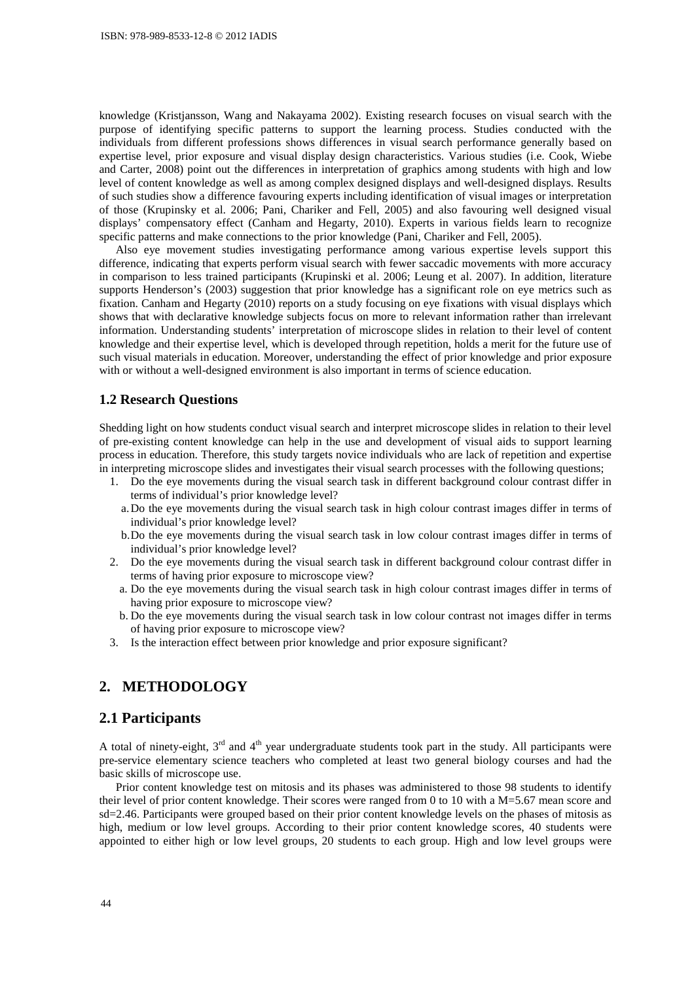knowledge (Kristjansson, Wang and Nakayama 2002). Existing research focuses on visual search with the purpose of identifying specific patterns to support the learning process. Studies conducted with the individuals from different professions shows differences in visual search performance generally based on expertise level, prior exposure and visual display design characteristics. Various studies (i.e. Cook, Wiebe and Carter, 2008) point out the differences in interpretation of graphics among students with high and low level of content knowledge as well as among complex designed displays and well-designed displays. Results of such studies show a difference favouring experts including identification of visual images or interpretation of those (Krupinsky et al. 2006; Pani, Chariker and Fell, 2005) and also favouring well designed visual displays' compensatory effect (Canham and Hegarty, 2010). Experts in various fields learn to recognize specific patterns and make connections to the prior knowledge (Pani, Chariker and Fell, 2005).

Also eye movement studies investigating performance among various expertise levels support this difference, indicating that experts perform visual search with fewer saccadic movements with more accuracy in comparison to less trained participants (Krupinski et al. 2006; Leung et al. 2007). In addition, literature supports Henderson's (2003) suggestion that prior knowledge has a significant role on eye metrics such as fixation. Canham and Hegarty (2010) reports on a study focusing on eye fixations with visual displays which shows that with declarative knowledge subjects focus on more to relevant information rather than irrelevant information. Understanding students' interpretation of microscope slides in relation to their level of content knowledge and their expertise level, which is developed through repetition, holds a merit for the future use of such visual materials in education. Moreover, understanding the effect of prior knowledge and prior exposure with or without a well-designed environment is also important in terms of science education.

#### **1.2 Research Questions**

Shedding light on how students conduct visual search and interpret microscope slides in relation to their level of pre-existing content knowledge can help in the use and development of visual aids to support learning process in education. Therefore, this study targets novice individuals who are lack of repetition and expertise in interpreting microscope slides and investigates their visual search processes with the following questions;

- 1. Do the eye movements during the visual search task in different background colour contrast differ in terms of individual's prior knowledge level?
	- a.Do the eye movements during the visual search task in high colour contrast images differ in terms of individual's prior knowledge level?
	- b.Do the eye movements during the visual search task in low colour contrast images differ in terms of individual's prior knowledge level?
- 2. Do the eye movements during the visual search task in different background colour contrast differ in terms of having prior exposure to microscope view?
- a. Do the eye movements during the visual search task in high colour contrast images differ in terms of having prior exposure to microscope view?
- b. Do the eye movements during the visual search task in low colour contrast not images differ in terms of having prior exposure to microscope view?
- 3. Is the interaction effect between prior knowledge and prior exposure significant?

### **2. METHODOLOGY**

### **2.1 Participants**

A total of ninety-eight,  $3<sup>rd</sup>$  and  $4<sup>th</sup>$  year undergraduate students took part in the study. All participants were pre-service elementary science teachers who completed at least two general biology courses and had the basic skills of microscope use.

Prior content knowledge test on mitosis and its phases was administered to those 98 students to identify their level of prior content knowledge. Their scores were ranged from 0 to 10 with a M=5.67 mean score and sd=2.46. Participants were grouped based on their prior content knowledge levels on the phases of mitosis as high, medium or low level groups. According to their prior content knowledge scores, 40 students were appointed to either high or low level groups, 20 students to each group. High and low level groups were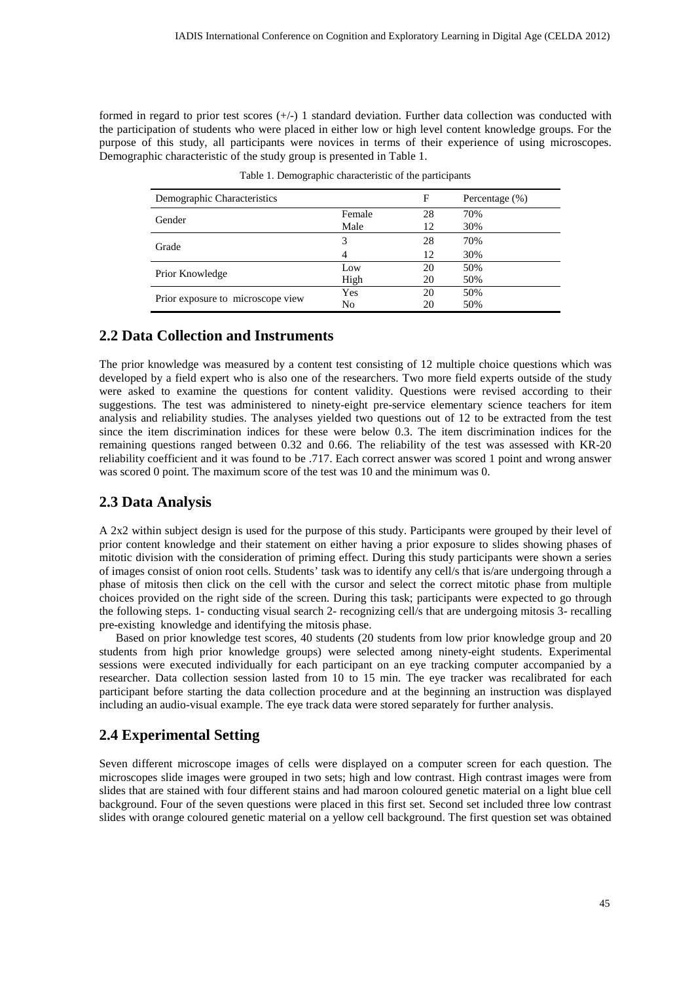formed in regard to prior test scores  $(+/-)$  1 standard deviation. Further data collection was conducted with the participation of students who were placed in either low or high level content knowledge groups. For the purpose of this study, all participants were novices in terms of their experience of using microscopes. Demographic characteristic of the study group is presented in Table 1.

| Demographic Characteristics       |                | F  | Percentage $(\%)$ |
|-----------------------------------|----------------|----|-------------------|
|                                   | Female         | 28 | 70%               |
| Gender                            | Male           | 12 | 30%               |
| Grade                             | 3              | 28 | 70%               |
|                                   | $\overline{4}$ | 12 | 30%               |
|                                   | Low            | 20 | 50%               |
| Prior Knowledge                   | High           | 20 | 50%               |
| Prior exposure to microscope view | Yes            | 20 | 50%               |
|                                   | No             | 20 | 50%               |

Table 1. Demographic characteristic of the participants

## **2.2 Data Collection and Instruments**

The prior knowledge was measured by a content test consisting of 12 multiple choice questions which was developed by a field expert who is also one of the researchers. Two more field experts outside of the study were asked to examine the questions for content validity. Questions were revised according to their suggestions. The test was administered to ninety-eight pre-service elementary science teachers for item analysis and reliability studies. The analyses yielded two questions out of 12 to be extracted from the test since the item discrimination indices for these were below 0.3. The item discrimination indices for the remaining questions ranged between 0.32 and 0.66. The reliability of the test was assessed with KR-20 reliability coefficient and it was found to be .717. Each correct answer was scored 1 point and wrong answer was scored 0 point. The maximum score of the test was 10 and the minimum was 0.

# **2.3 Data Analysis**

A 2x2 within subject design is used for the purpose of this study. Participants were grouped by their level of prior content knowledge and their statement on either having a prior exposure to slides showing phases of mitotic division with the consideration of priming effect. During this study participants were shown a series of images consist of onion root cells. Students' task was to identify any cell/s that is/are undergoing through a phase of mitosis then click on the cell with the cursor and select the correct mitotic phase from multiple choices provided on the right side of the screen. During this task; participants were expected to go through the following steps. 1- conducting visual search 2- recognizing cell/s that are undergoing mitosis 3- recalling pre-existing knowledge and identifying the mitosis phase.

Based on prior knowledge test scores, 40 students (20 students from low prior knowledge group and 20 students from high prior knowledge groups) were selected among ninety-eight students. Experimental sessions were executed individually for each participant on an eye tracking computer accompanied by a researcher. Data collection session lasted from 10 to 15 min. The eye tracker was recalibrated for each participant before starting the data collection procedure and at the beginning an instruction was displayed including an audio-visual example. The eye track data were stored separately for further analysis.

# **2.4 Experimental Setting**

Seven different microscope images of cells were displayed on a computer screen for each question. The microscopes slide images were grouped in two sets; high and low contrast. High contrast images were from slides that are stained with four different stains and had maroon coloured genetic material on a light blue cell background. Four of the seven questions were placed in this first set. Second set included three low contrast slides with orange coloured genetic material on a yellow cell background. The first question set was obtained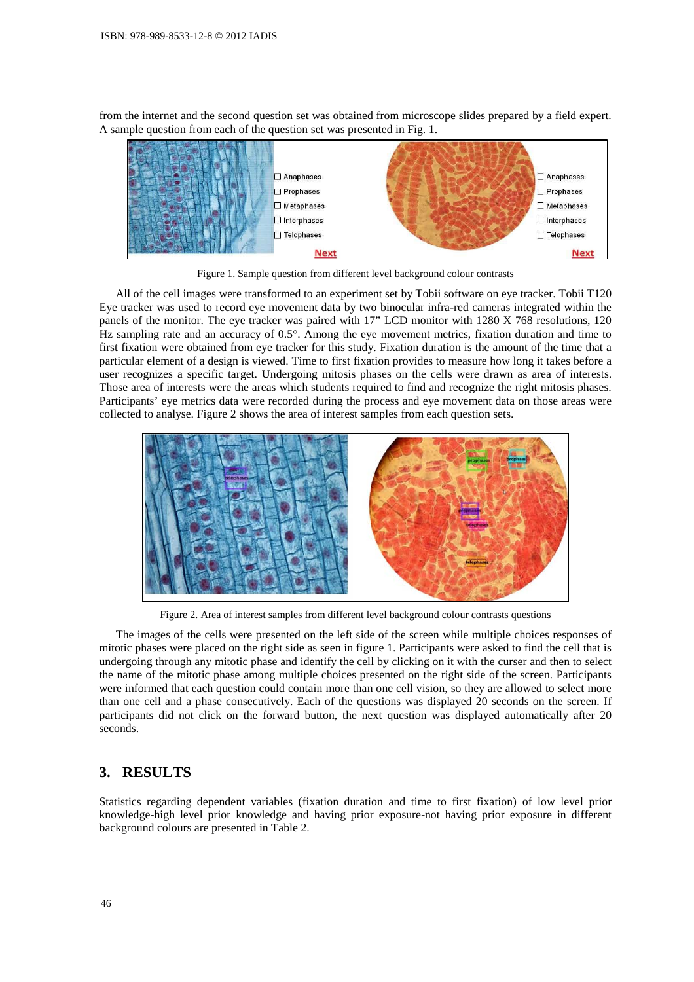from the internet and the second question set was obtained from microscope slides prepared by a field expert. A sample question from each of the question set was presented in Fig. 1.



Figure 1. Sample question from different level background colour contrasts

All of the cell images were transformed to an experiment set by Tobii software on eye tracker. Tobii T120 Eye tracker was used to record eye movement data by two binocular infra-red cameras integrated within the panels of the monitor. The eye tracker was paired with 17" LCD monitor with 1280 X 768 resolutions, 120 Hz sampling rate and an accuracy of 0.5°. Among the eye movement metrics, fixation duration and time to first fixation were obtained from eye tracker for this study. Fixation duration is the amount of the time that a particular element of a design is viewed. Time to first fixation provides to measure how long it takes before a user recognizes a specific target. Undergoing mitosis phases on the cells were drawn as area of interests. Those area of interests were the areas which students required to find and recognize the right mitosis phases. Participants' eye metrics data were recorded during the process and eye movement data on those areas were collected to analyse. Figure 2 shows the area of interest samples from each question sets.



Figure 2. Area of interest samples from different level background colour contrasts questions

The images of the cells were presented on the left side of the screen while multiple choices responses of mitotic phases were placed on the right side as seen in figure 1. Participants were asked to find the cell that is undergoing through any mitotic phase and identify the cell by clicking on it with the curser and then to select the name of the mitotic phase among multiple choices presented on the right side of the screen. Participants were informed that each question could contain more than one cell vision, so they are allowed to select more than one cell and a phase consecutively. Each of the questions was displayed 20 seconds on the screen. If participants did not click on the forward button, the next question was displayed automatically after 20 seconds.

### **3. RESULTS**

Statistics regarding dependent variables (fixation duration and time to first fixation) of low level prior knowledge-high level prior knowledge and having prior exposure-not having prior exposure in different background colours are presented in Table 2.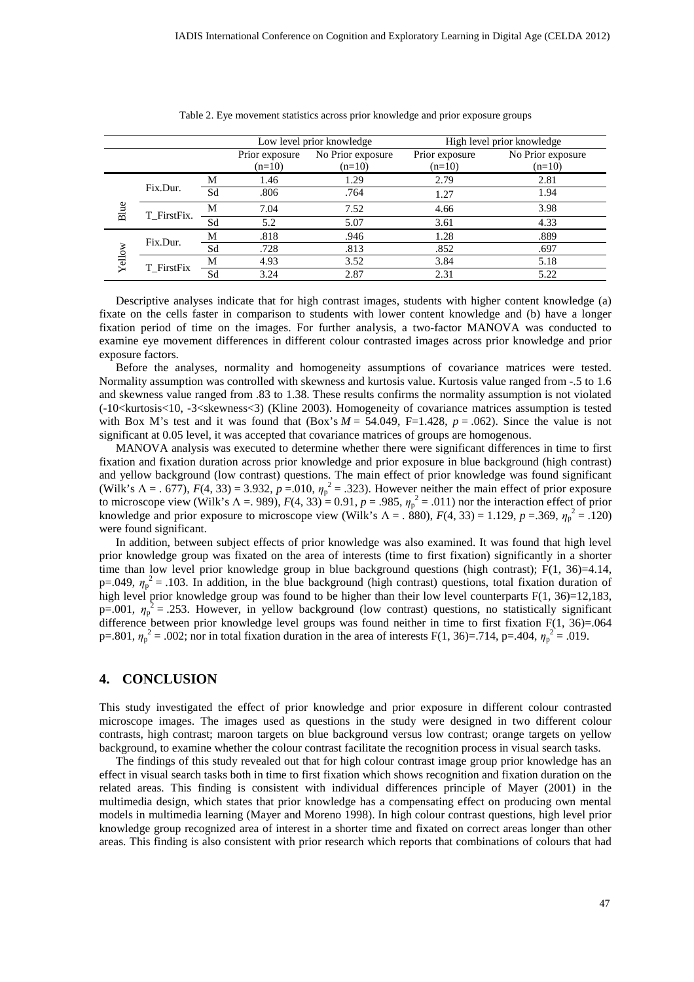|        |             |    | Low level prior knowledge |                   | High level prior knowledge |                   |
|--------|-------------|----|---------------------------|-------------------|----------------------------|-------------------|
|        |             |    | Prior exposure            | No Prior exposure | Prior exposure             | No Prior exposure |
|        |             |    | $(n=10)$                  | $(n=10)$          | $(n=10)$                   | $(n=10)$          |
| Blue   | Fix.Dur.    | М  | 1.46                      | 1.29              | 2.79                       | 2.81              |
|        |             | Sd | .806                      | .764              | 1.27                       | 1.94              |
|        | T_FirstFix. | М  | 7.04                      | 7.52              | 4.66                       | 3.98              |
|        |             | Sd | 5.2                       | 5.07              | 3.61                       | 4.33              |
| Yellow | Fix.Dur.    | М  | .818                      | .946              | 1.28                       | .889              |
|        |             | Sd | .728                      | .813              | .852                       | .697              |
|        | T_FirstFix  | М  | 4.93                      | 3.52              | 3.84                       | 5.18              |
|        |             | Sd | 3.24                      | 2.87              | 2.31                       | 5.22              |

Table 2. Eye movement statistics across prior knowledge and prior exposure groups

Descriptive analyses indicate that for high contrast images, students with higher content knowledge (a) fixate on the cells faster in comparison to students with lower content knowledge and (b) have a longer fixation period of time on the images. For further analysis, a two-factor MANOVA was conducted to examine eye movement differences in different colour contrasted images across prior knowledge and prior exposure factors.

Before the analyses, normality and homogeneity assumptions of covariance matrices were tested. Normality assumption was controlled with skewness and kurtosis value. Kurtosis value ranged from -.5 to 1.6 and skewness value ranged from .83 to 1.38. These results confirms the normality assumption is not violated (-10<kurtosis<10, -3<skewness<3) (Kline 2003). Homogeneity of covariance matrices assumption is tested with Box M's test and it was found that  $(Box's M = 54.049, F=1.428, p = .062)$ . Since the value is not significant at 0.05 level, it was accepted that covariance matrices of groups are homogenous.

MANOVA analysis was executed to determine whether there were significant differences in time to first fixation and fixation duration across prior knowledge and prior exposure in blue background (high contrast) and yellow background (low contrast) questions. The main effect of prior knowledge was found significant (Wilk's  $\Lambda = 0.677$ ),  $F(4, 33) = 3.932$ ,  $p = 0.010$ ,  $\eta_p^2 = 0.323$ ). However neither the main effect of prior exposure to microscope view (Wilk's  $\Lambda = 989$ ),  $F(4, 33) = 0.91$ ,  $p = .985$ ,  $\eta_p^2 = .011$ ) nor the interaction effect of prior knowledge and prior exposure to microscope view (Wilk's  $\Lambda = .880$ ),  $F(4, 33) = 1.129$ ,  $p = .369$ ,  $\eta_p^2 = .120$ ) were found significant.

In addition, between subject effects of prior knowledge was also examined. It was found that high level prior knowledge group was fixated on the area of interests (time to first fixation) significantly in a shorter time than low level prior knowledge group in blue background questions (high contrast);  $F(1, 36)=4.14$ ,  $p=0.049$ ,  $\eta_p^2 = 0.103$ . In addition, in the blue background (high contrast) questions, total fixation duration of high level prior knowledge group was found to be higher than their low level counterparts F(1, 36)=12,183,  $p=0.001$ ,  $\eta_p^2 = 0.253$ . However, in yellow background (low contrast) questions, no statistically significant difference between prior knowledge level groups was found neither in time to first fixation F(1, 36)=.064 p=.801,  $\eta_p^2$  = .002; nor in total fixation duration in the area of interests F(1, 36)=.714, p=.404,  $\eta_p^2$  = .019.

#### **4. CONCLUSION**

This study investigated the effect of prior knowledge and prior exposure in different colour contrasted microscope images. The images used as questions in the study were designed in two different colour contrasts, high contrast; maroon targets on blue background versus low contrast; orange targets on yellow background, to examine whether the colour contrast facilitate the recognition process in visual search tasks.

The findings of this study revealed out that for high colour contrast image group prior knowledge has an effect in visual search tasks both in time to first fixation which shows recognition and fixation duration on the related areas. This finding is consistent with individual differences principle of Mayer (2001) in the multimedia design, which states that prior knowledge has a compensating effect on producing own mental models in multimedia learning (Mayer and Moreno 1998). In high colour contrast questions, high level prior knowledge group recognized area of interest in a shorter time and fixated on correct areas longer than other areas. This finding is also consistent with prior research which reports that combinations of colours that had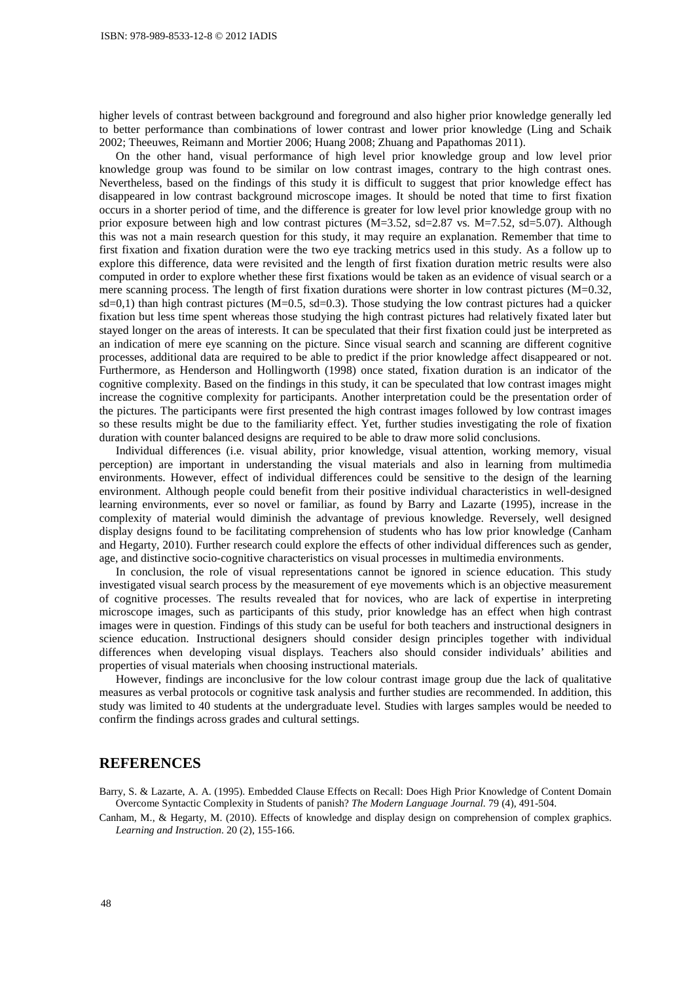higher levels of contrast between background and foreground and also higher prior knowledge generally led to better performance than combinations of lower contrast and lower prior knowledge (Ling and Schaik 2002; Theeuwes, Reimann and Mortier 2006; Huang 2008; Zhuang and Papathomas 2011).

On the other hand, visual performance of high level prior knowledge group and low level prior knowledge group was found to be similar on low contrast images, contrary to the high contrast ones. Nevertheless, based on the findings of this study it is difficult to suggest that prior knowledge effect has disappeared in low contrast background microscope images. It should be noted that time to first fixation occurs in a shorter period of time, and the difference is greater for low level prior knowledge group with no prior exposure between high and low contrast pictures (M=3.52, sd=2.87 vs. M=7.52, sd=5.07). Although this was not a main research question for this study, it may require an explanation. Remember that time to first fixation and fixation duration were the two eye tracking metrics used in this study. As a follow up to explore this difference, data were revisited and the length of first fixation duration metric results were also computed in order to explore whether these first fixations would be taken as an evidence of visual search or a mere scanning process. The length of first fixation durations were shorter in low contrast pictures (M=0.32,  $sd=0,1$ ) than high contrast pictures (M=0.5, sd=0.3). Those studying the low contrast pictures had a quicker fixation but less time spent whereas those studying the high contrast pictures had relatively fixated later but stayed longer on the areas of interests. It can be speculated that their first fixation could just be interpreted as an indication of mere eye scanning on the picture. Since visual search and scanning are different cognitive processes, additional data are required to be able to predict if the prior knowledge affect disappeared or not. Furthermore, as Henderson and Hollingworth (1998) once stated, fixation duration is an indicator of the cognitive complexity. Based on the findings in this study, it can be speculated that low contrast images might increase the cognitive complexity for participants. Another interpretation could be the presentation order of the pictures. The participants were first presented the high contrast images followed by low contrast images so these results might be due to the familiarity effect. Yet, further studies investigating the role of fixation duration with counter balanced designs are required to be able to draw more solid conclusions.

Individual differences (i.e. visual ability, prior knowledge, visual attention, working memory, visual perception) are important in understanding the visual materials and also in learning from multimedia environments. However, effect of individual differences could be sensitive to the design of the learning environment. Although people could benefit from their positive individual characteristics in well-designed learning environments, ever so novel or familiar, as found by Barry and Lazarte (1995), increase in the complexity of material would diminish the advantage of previous knowledge. Reversely, well designed display designs found to be facilitating comprehension of students who has low prior knowledge (Canham and Hegarty, 2010). Further research could explore the effects of other individual differences such as gender, age, and distinctive socio-cognitive characteristics on visual processes in multimedia environments.

In conclusion, the role of visual representations cannot be ignored in science education. This study investigated visual search process by the measurement of eye movements which is an objective measurement of cognitive processes. The results revealed that for novices, who are lack of expertise in interpreting microscope images, such as participants of this study, prior knowledge has an effect when high contrast images were in question. Findings of this study can be useful for both teachers and instructional designers in science education. Instructional designers should consider design principles together with individual differences when developing visual displays. Teachers also should consider individuals' abilities and properties of visual materials when choosing instructional materials.

However, findings are inconclusive for the low colour contrast image group due the lack of qualitative measures as verbal protocols or cognitive task analysis and further studies are recommended. In addition, this study was limited to 40 students at the undergraduate level. Studies with larges samples would be needed to confirm the findings across grades and cultural settings.

### **REFERENCES**

Barry, S. & Lazarte, A. A. (1995). Embedded Clause Effects on Recall: Does High Prior Knowledge of Content Domain Overcome Syntactic Complexity in Students of panish? *The Modern Language Journal.* 79 (4), 491-504.

Canham, M., & Hegarty, M. (2010). Effects of knowledge and display design on comprehension of complex graphics. *Learning and Instruction*. 20 (2), 155-166.